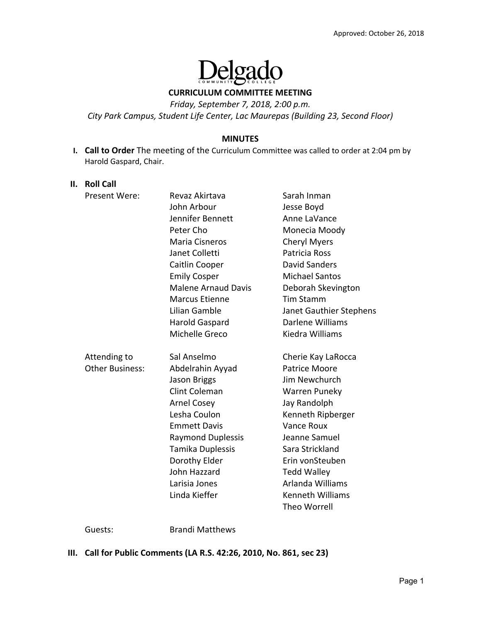

**CURRICULUM COMMITTEE MEETING** 

*Friday, September 7, 2018, 2:00 p.m.* 

*City Park Campus, Student Life Center, Lac Maurepas (Building 23, Second Floor)* 

#### **MINUTES**

**I. Call to Order** The meeting of the Curriculum Committee was called to order at 2:04 pm by Harold Gaspard, Chair.

#### **II. Roll Call**

| Present Were:                          | Revaz Akirtava<br>John Arbour<br>Jennifer Bennett<br>Peter Cho<br>Maria Cisneros<br>Janet Colletti<br>Caitlin Cooper<br><b>Emily Cosper</b><br><b>Malene Arnaud Davis</b><br><b>Marcus Etienne</b><br>Lilian Gamble                                     | Sarah Inman<br>Jesse Boyd<br>Anne LaVance<br>Monecia Moody<br><b>Cheryl Myers</b><br>Patricia Ross<br>David Sanders<br><b>Michael Santos</b><br>Deborah Skevington<br><b>Tim Stamm</b><br>Janet Gauthier Stephens                                                                  |
|----------------------------------------|---------------------------------------------------------------------------------------------------------------------------------------------------------------------------------------------------------------------------------------------------------|------------------------------------------------------------------------------------------------------------------------------------------------------------------------------------------------------------------------------------------------------------------------------------|
|                                        | Harold Gaspard<br>Michelle Greco                                                                                                                                                                                                                        | Darlene Williams<br>Kiedra Williams                                                                                                                                                                                                                                                |
| Attending to<br><b>Other Business:</b> | Sal Anselmo<br>Abdelrahin Ayyad<br>Jason Briggs<br><b>Clint Coleman</b><br><b>Arnel Cosey</b><br>Lesha Coulon<br><b>Emmett Davis</b><br><b>Raymond Duplessis</b><br>Tamika Duplessis<br>Dorothy Elder<br>John Hazzard<br>Larisia Jones<br>Linda Kieffer | Cherie Kay LaRocca<br><b>Patrice Moore</b><br>Jim Newchurch<br>Warren Puneky<br>Jay Randolph<br>Kenneth Ripberger<br><b>Vance Roux</b><br>Jeanne Samuel<br>Sara Strickland<br>Erin vonSteuben<br><b>Tedd Walley</b><br>Arlanda Williams<br><b>Kenneth Williams</b><br>Theo Worrell |

Guests: Brandi Matthews

#### **III. Call for Public Comments (LA R.S. 42:26, 2010, No. 861, sec 23)**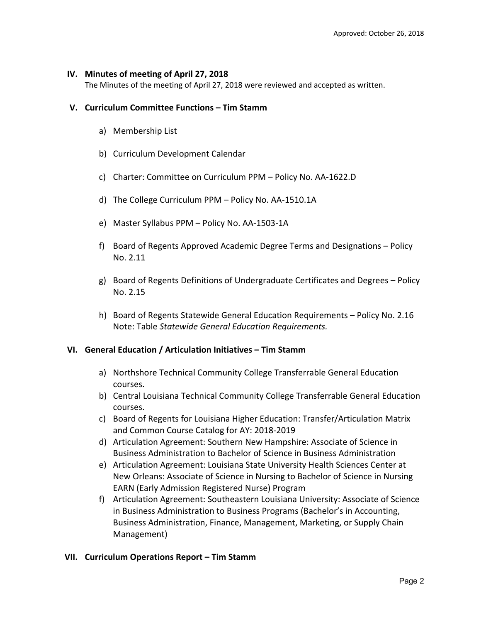## **IV. Minutes of meeting of April 27, 2018**

The Minutes of the meeting of April 27, 2018 were reviewed and accepted as written.

## **V. Curriculum Committee Functions – Tim Stamm**

- a) Membership List
- b) Curriculum Development Calendar
- c) Charter: Committee on Curriculum PPM Policy No. AA‐1622.D
- d) The College Curriculum PPM Policy No. AA‐1510.1A
- e) Master Syllabus PPM Policy No. AA‐1503‐1A
- f) Board of Regents Approved Academic Degree Terms and Designations Policy No. 2.11
- g) Board of Regents Definitions of Undergraduate Certificates and Degrees Policy No. 2.15
- h) Board of Regents Statewide General Education Requirements Policy No. 2.16 Note: Table *Statewide General Education Requirements.*

#### **VI. General Education / Articulation Initiatives – Tim Stamm**

- a) Northshore Technical Community College Transferrable General Education courses.
- b) Central Louisiana Technical Community College Transferrable General Education courses.
- c) Board of Regents for Louisiana Higher Education: Transfer/Articulation Matrix and Common Course Catalog for AY: 2018‐2019
- d) Articulation Agreement: Southern New Hampshire: Associate of Science in Business Administration to Bachelor of Science in Business Administration
- e) Articulation Agreement: Louisiana State University Health Sciences Center at New Orleans: Associate of Science in Nursing to Bachelor of Science in Nursing EARN (Early Admission Registered Nurse) Program
- f) Articulation Agreement: Southeastern Louisiana University: Associate of Science in Business Administration to Business Programs (Bachelor's in Accounting, Business Administration, Finance, Management, Marketing, or Supply Chain Management)

#### **VII. Curriculum Operations Report – Tim Stamm**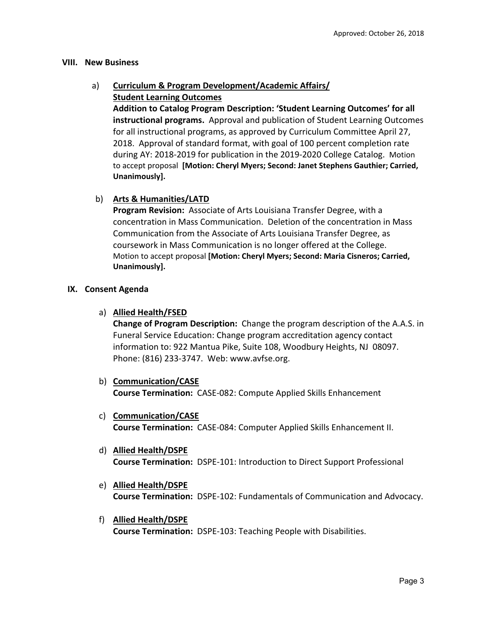## **VIII. New Business**

# a) **Curriculum & Program Development/Academic Affairs/ Student Learning Outcomes**

**Addition to Catalog Program Description: 'Student Learning Outcomes' for all instructional programs.** Approval and publication of Student Learning Outcomes for all instructional programs, as approved by Curriculum Committee April 27, 2018. Approval of standard format, with goal of 100 percent completion rate during AY: 2018‐2019 for publication in the 2019‐2020 College Catalog. Motion to accept proposal **[Motion: Cheryl Myers; Second: Janet Stephens Gauthier; Carried, Unanimously].** 

# b) **Arts & Humanities/LATD**

**Program Revision:** Associate of Arts Louisiana Transfer Degree, with a concentration in Mass Communication. Deletion of the concentration in Mass Communication from the Associate of Arts Louisiana Transfer Degree, as coursework in Mass Communication is no longer offered at the College. Motion to accept proposal **[Motion: Cheryl Myers; Second: Maria Cisneros; Carried, Unanimously].** 

## **IX. Consent Agenda**

a) **Allied Health/FSED** 

**Change of Program Description:** Change the program description of the A.A.S. in Funeral Service Education: Change program accreditation agency contact information to: 922 Mantua Pike, Suite 108, Woodbury Heights, NJ 08097. Phone: (816) 233‐3747. Web: www.avfse.org.

- b) **Communication/CASE Course Termination:** CASE‐082: Compute Applied Skills Enhancement
- c) **Communication/CASE Course Termination:** CASE‐084: Computer Applied Skills Enhancement II.
- d) **Allied Health/DSPE Course Termination:**  DSPE‐101: Introduction to Direct Support Professional
- e) **Allied Health/DSPE Course Termination:**  DSPE‐102: Fundamentals of Communication and Advocacy.
- f) **Allied Health/DSPE Course Termination:** DSPE‐103: Teaching People with Disabilities.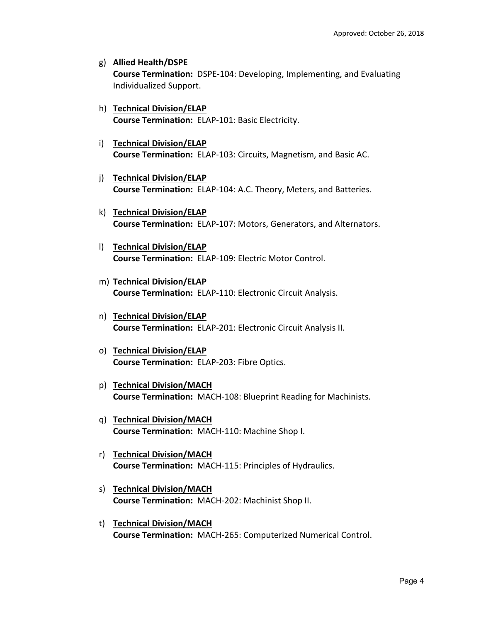- g) **Allied Health/DSPE Course Termination:** DSPE‐104: Developing, Implementing, and Evaluating Individualized Support.
- h) **Technical Division/ELAP Course Termination:**  ELAP‐101: Basic Electricity.
- i) **Technical Division/ELAP Course Termination:** ELAP‐103: Circuits, Magnetism, and Basic AC.
- j) **Technical Division/ELAP Course Termination:** ELAP‐104: A.C. Theory, Meters, and Batteries.
- k) **Technical Division/ELAP Course Termination:** ELAP‐107: Motors, Generators, and Alternators.
- l) **Technical Division/ELAP Course Termination:** ELAP‐109: Electric Motor Control.
- m) **Technical Division/ELAP Course Termination:** ELAP‐110: Electronic Circuit Analysis.
- n) **Technical Division/ELAP Course Termination:** ELAP‐201: Electronic Circuit Analysis II.
- o) **Technical Division/ELAP Course Termination:** ELAP‐203: Fibre Optics.
- p) **Technical Division/MACH Course Termination:** MACH‐108: Blueprint Reading for Machinists.
- q) **Technical Division/MACH Course Termination:** MACH‐110: Machine Shop I.
- r) **Technical Division/MACH Course Termination:** MACH‐115: Principles of Hydraulics.
- s) **Technical Division/MACH Course Termination:** MACH‐202: Machinist Shop II.
- t) **Technical Division/MACH Course Termination:** MACH‐265: Computerized Numerical Control.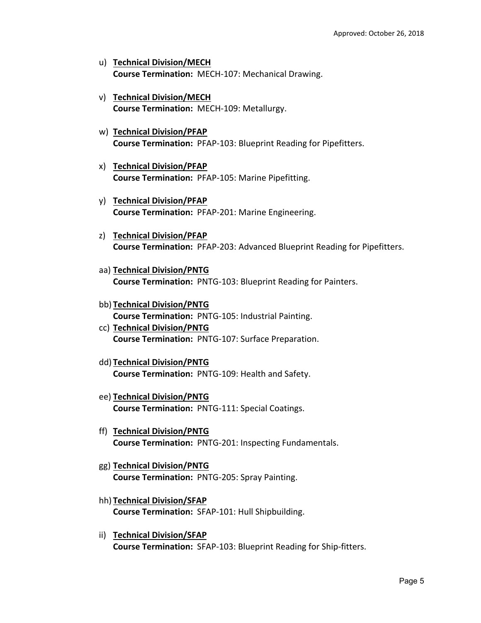- u) **Technical Division/MECH Course Termination:** MECH‐107: Mechanical Drawing.
- v) **Technical Division/MECH Course Termination:** MECH‐109: Metallurgy.
- w) **Technical Division/PFAP Course Termination: PFAP-103: Blueprint Reading for Pipefitters.**
- x) **Technical Division/PFAP Course Termination: PFAP-105: Marine Pipefitting.**
- y) **Technical Division/PFAP Course Termination:** PFAP‐201: Marine Engineering.
- z) **Technical Division/PFAP Course Termination: PFAP-203: Advanced Blueprint Reading for Pipefitters.**
- aa) **Technical Division/PNTG Course Termination:** PNTG‐103: Blueprint Reading for Painters.
- bb) **Technical Division/PNTG Course Termination:** PNTG‐105: Industrial Painting.
- cc) **Technical Division/PNTG Course Termination:** PNTG‐107: Surface Preparation.
- dd) **Technical Division/PNTG Course Termination:** PNTG‐109: Health and Safety.
- ee) **Technical Division/PNTG Course Termination:** PNTG‐111: Special Coatings.
- ff) **Technical Division/PNTG Course Termination:** PNTG‐201: Inspecting Fundamentals.
- gg) **Technical Division/PNTG Course Termination:** PNTG‐205: Spray Painting.
- hh) **Technical Division/SFAP Course Termination:** SFAP‐101: Hull Shipbuilding.
- ii) **Technical Division/SFAP Course Termination:** SFAP‐103: Blueprint Reading for Ship‐fitters.